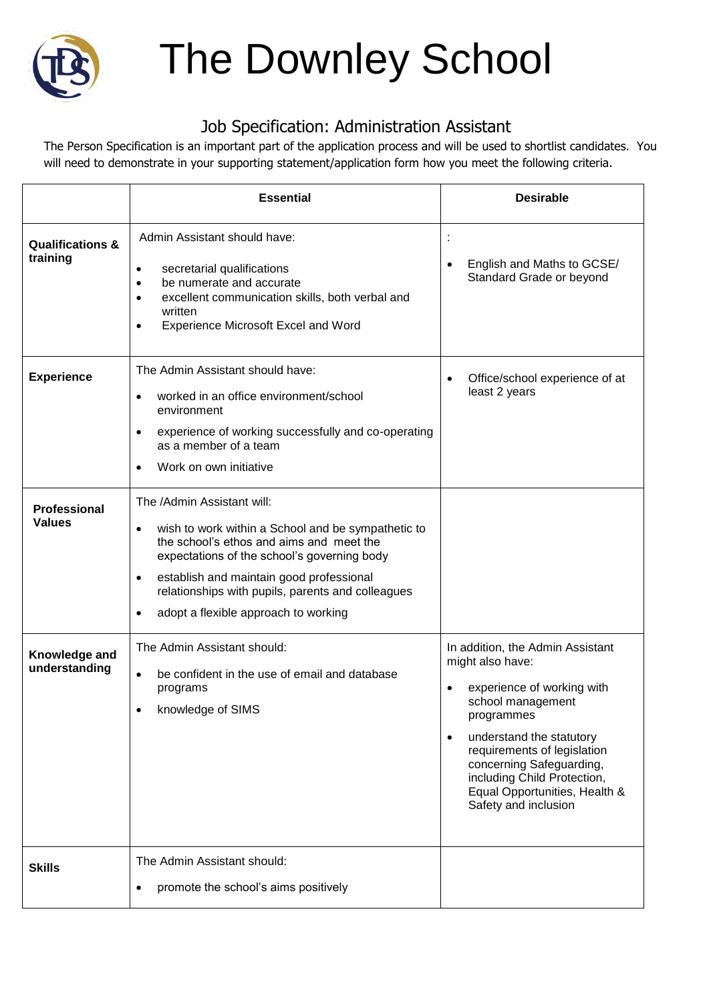

## The Downley School

## Job Specification: Administration Assistant

The Person Specification is an important part of the application process and will be used to shortlist candidates. You will need to demonstrate in your supporting statement/application form how you meet the following criteria.

|                                         | <b>Essential</b>                                                                                                                                                                                                                                                                                                                    | <b>Desirable</b>                                                                                                                                                                                                                                                                                                               |
|-----------------------------------------|-------------------------------------------------------------------------------------------------------------------------------------------------------------------------------------------------------------------------------------------------------------------------------------------------------------------------------------|--------------------------------------------------------------------------------------------------------------------------------------------------------------------------------------------------------------------------------------------------------------------------------------------------------------------------------|
| <b>Qualifications &amp;</b><br>training | Admin Assistant should have:<br>secretarial qualifications<br>٠<br>be numerate and accurate<br>$\bullet$<br>excellent communication skills, both verbal and<br>$\bullet$<br>written<br><b>Experience Microsoft Excel and Word</b><br>$\bullet$                                                                                      | ÷<br>English and Maths to GCSE/<br>$\bullet$<br>Standard Grade or beyond                                                                                                                                                                                                                                                       |
| <b>Experience</b>                       | The Admin Assistant should have:<br>worked in an office environment/school<br>$\bullet$<br>environment<br>experience of working successfully and co-operating<br>$\bullet$<br>as a member of a team<br>Work on own initiative<br>$\bullet$                                                                                          | Office/school experience of at<br>$\bullet$<br>least 2 years                                                                                                                                                                                                                                                                   |
| <b>Professional</b><br><b>Values</b>    | The /Admin Assistant will:<br>wish to work within a School and be sympathetic to<br>٠<br>the school's ethos and aims and meet the<br>expectations of the school's governing body<br>establish and maintain good professional<br>٠<br>relationships with pupils, parents and colleagues<br>adopt a flexible approach to working<br>٠ |                                                                                                                                                                                                                                                                                                                                |
| Knowledge and<br>understanding          | The Admin Assistant should:<br>be confident in the use of email and database<br>$\bullet$<br>programs<br>knowledge of SIMS<br>$\bullet$                                                                                                                                                                                             | In addition, the Admin Assistant<br>might also have:<br>experience of working with<br>$\bullet$<br>school management<br>programmes<br>understand the statutory<br>$\bullet$<br>requirements of legislation<br>concerning Safeguarding,<br>including Child Protection,<br>Equal Opportunities, Health &<br>Safety and inclusion |
| <b>Skills</b>                           | The Admin Assistant should:<br>promote the school's aims positively                                                                                                                                                                                                                                                                 |                                                                                                                                                                                                                                                                                                                                |